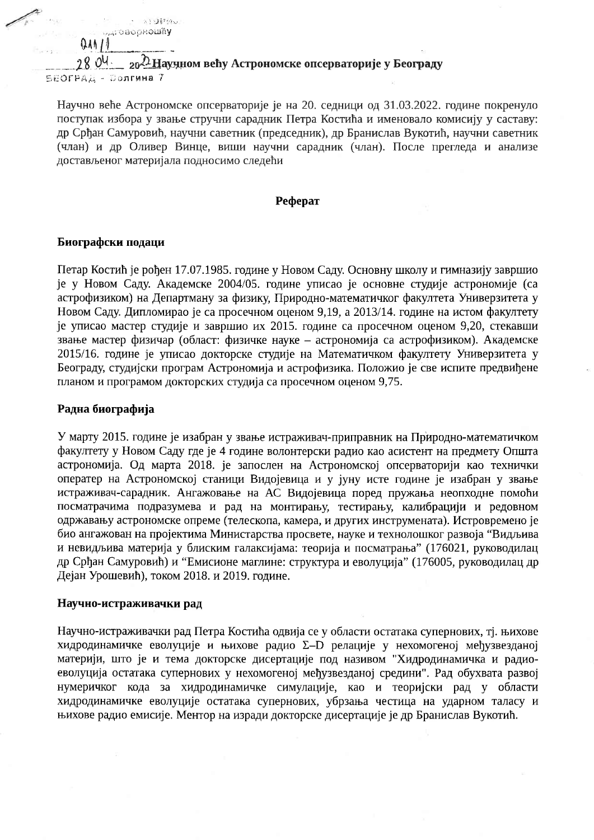$280^{\circ}$   $\frac{\partial V}{\partial t}$  20  $\frac{\partial H}{\partial x}$  Научном већу Астрономске опсерваторије у Београду БЕОГРАД - Волгина 7

Научно веће Астрономске опсерваторије је на 20. седници од 31.03.2022. године покренуло поступак избора у звање стручни сарадник Петра Костића и именовало комисију у саставу: др Срђан Самуровић, научни саветник (председник), др Бранислав Вукотић, научни саветник (члан) и др Оливер Винце, виши научни сарадник (члан). После прегледа и анализе достављеног материјала подносимо следећи

#### Реферат

### Биографски подаци

Service of the State of the State

**MANOBODROWNY** 

 $QAN11$ 

Петар Костић је рођен 17.07.1985. године у Новом Саду, Основну школу и гимназију завршио је у Новом Саду. Академске 2004/05. године уписао је основне студије астрономије (са астрофизиком) на Департману за физику, Природно-математичког факултета Универзитета у Новом Саду. Дипломирао је са просечном оценом 9,19, а 2013/14. године на истом факултету је уписао мастер студије и завршио их 2015. године са просечном оценом 9,20, стекавши звање мастер физичар (област: физичке науке - астрономија са астрофизиком). Академске 2015/16. године је уписао докторске студије на Математичком факултету Универзитета у Београду, студијски програм Астрономија и астрофизика. Положио је све испите предвиђене планом и програмом докторских студија са просечном оценом 9.75.

## Радна биографија

У марту 2015. године је изабран у звање истраживач-приправник на Природно-математичком факултету у Новом Саду где је 4 године волонтерски радио као асистент на предмету Општа астрономија. Од марта 2018. је запослен на Астрономској опсерваторији као технички оператер на Астрономској станици Видојевица и у јуну исте године је изабран у звање истраживач-сарадник. Ангажовање на АС Видојевица поред пружања неопходне помоћи посматрачима подразумева и рад на монтирању, тестирању, калибрацији и редовном одржавању астрономске опреме (телескопа, камера, и других инструмената). Истровремено је био ангажован на пројектима Министарства просвете, науке и технолошког развоја "Видљива и невидљива материја у блиским галаксијама: теорија и посматрања" (176021, руководилац др Срђан Самуровић) и "Емисионе маглине: структура и еволуција" (176005, руководилац др Дејан Урошевић), током 2018. и 2019. године.

### Научно-истраживачки рад

Научно-истраживачки рад Петра Костића одвија се у области остатака супернових, тј. њихове хидродинамичке еволуције и њихове радио Σ-D релације у нехомогеној међузвезданој материји, што је и тема докторске дисертације под називом "Хидродинамичка и радиоеволуција остатака супернових у нехомогеној међузвезданој средини". Рад обухвата развој нумеричког кода за хидродинамичке симулације, као и теоријски рад у области хидродинамичке еволуције остатака супернових, убрзања честица на ударном таласу и њихове радио емисије. Ментор на изради докторске дисертације је др Бранислав Вукотић.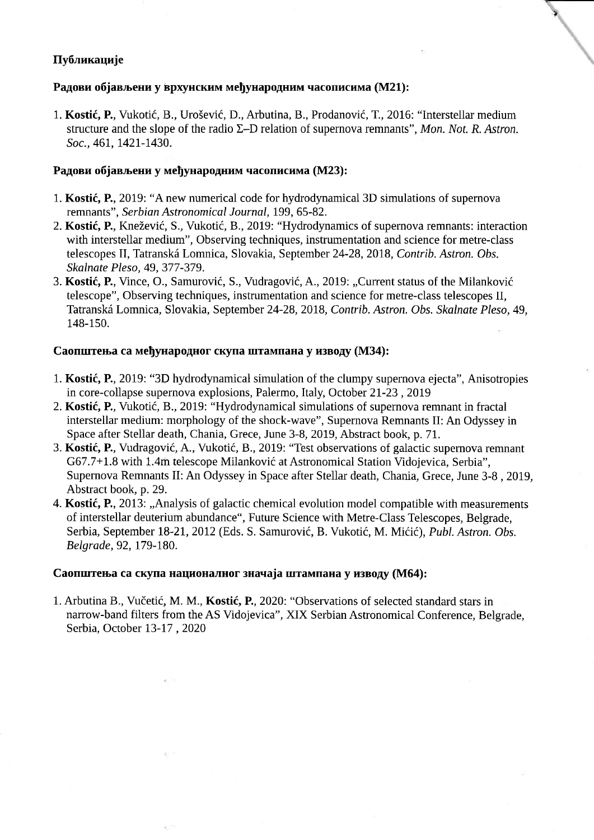# Публикације

## Радови објављени у врхунским међународним часописима (M21):

1. Kostić, P., Vukotić, B., Urošević, D., Arbutina, B., Prodanović, T., 2016: "Interstellar medium structure and the slope of the radio  $\Sigma$ –D relation of supernova remnants", Mon. Not. R. Astron. Soc., 461, 1421-1430.

à,

## Радови објављени у међународним часописима (M23):

- 1. Kostić, P., 2019: "A new numerical code for hydrodynamical 3D simulations of supernova remnants", Serbian Astronomical Journal, 199, 65-82.
- 2. Kostić, P., Knežević, S., Vukotić, B., 2019: "Hydrodynamics of supernova remnants: interaction with interstellar medium", Observing techniques, instrumentation and science for metre-class telescopes II, Tatranská Lomnica, Slovakia, September 24-28, 2018, Contrib. Astron. Obs. Skalnate Pleso, 49, 377-379.
- 3. Kostić, P., Vince, O., Samurović, S., Vudragović, A., 2019: "Current status of the Milanković telescope", Observing techniques, instrumentation and science for metre-class telescopes II, Tatranská Lomnica, Slovakia, September 24-28, 2018, Contrib. Astron. Obs. Skalnate Pleso, 49, 148-150.

## Саопштења са међународног скупа штампана у изводу (М34):

- 1. Kostić, P., 2019: "3D hydrodynamical simulation of the clumpy supernova ejecta", Anisotropies in core-collapse supernova explosions, Palermo, Italy, October 2I-23, 2019
- 2. Kostić, P., Vukotić, B., 2019: "Hydrodynamical simulations of supernova remnant in fractal interstellar medium: morphology of the shock-wave", Supernova Remnants II: An Odyssey in Space after Stellar death, Chania, Grece, June 3-8, 2019, Abstract book, p. 71.
- 3. Kostić, P., Vudragović, A., Vukotić, B., 2019: "Test observations of galactic supernova remnant G67.7+L.8 with 1.4m telescope Milankovic at Astronomical Station Vidojevica, Serbia", Supernova Remnants II: An Odyssey in Space after Stellar death, Chania, Grece, June 3-8, 2019, Abstract book, p.29.
- 4. Kostić, P., 2013: "Analysis of galactic chemical evolution model compatible with measurements of interstellar deuterium abundance", Future Science with Metre-Class Telescopes, Belgrade, Serbia, September 18-21, 2012 (Eds. S. Samurović, B. Vukotić, M. Mićić), Publ. Astron. Obs. Belgrade, 92, 179-180.

## Саопштења са скупа националног значаја штампана у изводу (М64):

1. Arbutina B., Vučetić, M. M., Kostić, P., 2020: "Observations of selected standard stars in narrow-band filters from the AS Vidojevica", XIX Serbian Astronomical Conference, Belgrade, Serbia, October 13-17, 2020